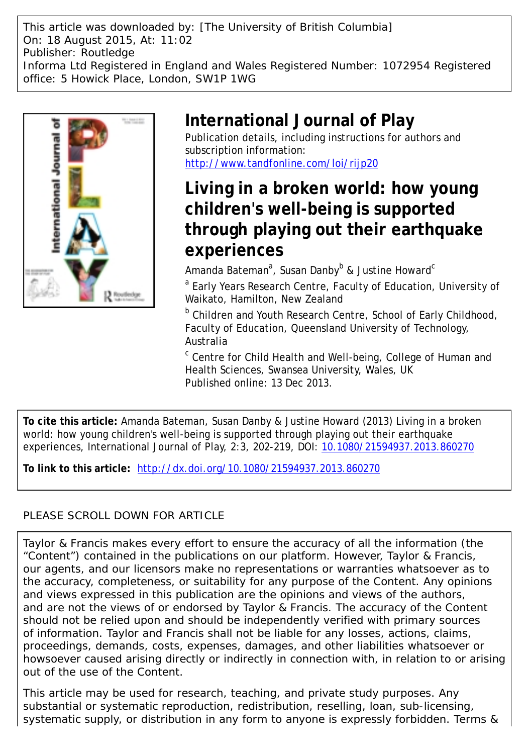This article was downloaded by: [The University of British Columbia] On: 18 August 2015, At: 11:02 Publisher: Routledge Informa Ltd Registered in England and Wales Registered Number: 1072954 Registered office: 5 Howick Place, London, SW1P 1WG



# **International Journal of Play**

Publication details, including instructions for authors and subscription information: <http://www.tandfonline.com/loi/rijp20>

# **Living in a broken world: how young children's well-being is supported through playing out their earthquake experiences**

Amanda Bateman<sup>a</sup>, Susan Danby<sup>b</sup> & Justine Howard<sup>c</sup>

<sup>a</sup> Early Years Research Centre, Faculty of Education, University of Waikato, Hamilton, New Zealand

**b** Children and Youth Research Centre, School of Early Childhood, Faculty of Education, Queensland University of Technology, Australia

<sup>c</sup> Centre for Child Health and Well-being, College of Human and Health Sciences, Swansea University, Wales, UK Published online: 13 Dec 2013.

**To cite this article:** Amanda Bateman, Susan Danby & Justine Howard (2013) Living in a broken world: how young children's well-being is supported through playing out their earthquake experiences, International Journal of Play, 2:3, 202-219, DOI: [10.1080/21594937.2013.860270](http://www.tandfonline.com/action/showCitFormats?doi=10.1080/21594937.2013.860270)

**To link to this article:** <http://dx.doi.org/10.1080/21594937.2013.860270>

# PLEASE SCROLL DOWN FOR ARTICLE

Taylor & Francis makes every effort to ensure the accuracy of all the information (the "Content") contained in the publications on our platform. However, Taylor & Francis, our agents, and our licensors make no representations or warranties whatsoever as to the accuracy, completeness, or suitability for any purpose of the Content. Any opinions and views expressed in this publication are the opinions and views of the authors, and are not the views of or endorsed by Taylor & Francis. The accuracy of the Content should not be relied upon and should be independently verified with primary sources of information. Taylor and Francis shall not be liable for any losses, actions, claims, proceedings, demands, costs, expenses, damages, and other liabilities whatsoever or howsoever caused arising directly or indirectly in connection with, in relation to or arising out of the use of the Content.

This article may be used for research, teaching, and private study purposes. Any substantial or systematic reproduction, redistribution, reselling, loan, sub-licensing, systematic supply, or distribution in any form to anyone is expressly forbidden. Terms &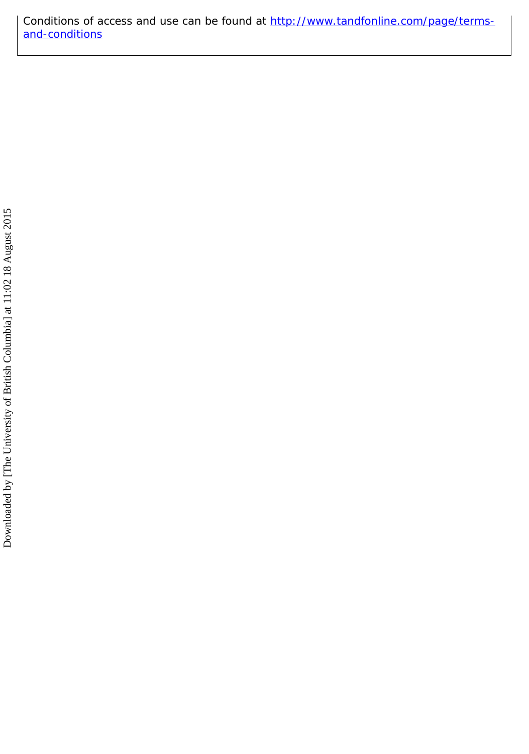Conditions of access and use can be found at [http://www.tandfonline.com/page/terms](http://www.tandfonline.com/page/terms-and-conditions)[and-conditions](http://www.tandfonline.com/page/terms-and-conditions)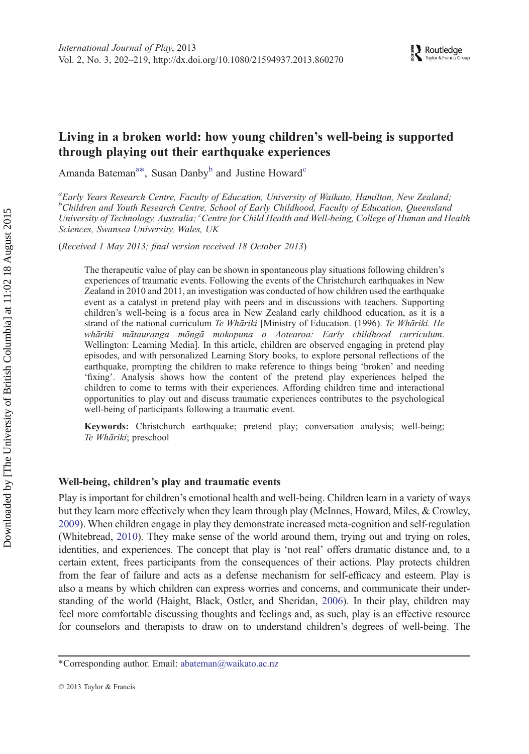# Living in a broken world: how young children's well-being is supported through playing out their earthquake experiences

Amanda Bateman<sup>a\*</sup>, Susan Danby<sup>b</sup> and Justine Howard<sup>c</sup>

<sup>a</sup> Early Years Research Centre, Faculty of Education, University of Waikato, Hamilton, New Zealand; <sup>b</sup>Children and Youth Research Centre, School of Early Childhood, Faculty of Education, Queensland University of Technology, Australia; Centre for Child Health and Well-being, College of Human and Health Sciences, Swansea University, Wales, UK

(Received 1 May 2013; final version received 18 October 2013)

The therapeutic value of play can be shown in spontaneous play situations following children's experiences of traumatic events. Following the events of the Christchurch earthquakes in New Zealand in 2010 and 2011, an investigation was conducted of how children used the earthquake event as a catalyst in pretend play with peers and in discussions with teachers. Supporting children's well-being is a focus area in New Zealand early childhood education, as it is a strand of the national curriculum Te Whāriki [Ministry of Education. (1996). Te Whāriki. He whāriki mātauranga mōngā mokopuna o Aotearoa: Early childhood curriculum. Wellington: Learning Media]. In this article, children are observed engaging in pretend play episodes, and with personalized Learning Story books, to explore personal reflections of the earthquake, prompting the children to make reference to things being 'broken' and needing 'fixing'. Analysis shows how the content of the pretend play experiences helped the children to come to terms with their experiences. Affording children time and interactional opportunities to play out and discuss traumatic experiences contributes to the psychological well-being of participants following a traumatic event.

Keywords: Christchurch earthquake; pretend play; conversation analysis; well-being; Te Whāriki; preschool

#### Well-being, children's play and traumatic events

Play is important for children's emotional health and well-being. Children learn in a variety of ways but they learn more effectively when they learn through play (McInnes, Howard, Miles, & Crowley, [2009](#page-18-0)). When children engage in play they demonstrate increased meta-cognition and self-regulation (Whitebread, [2010](#page-19-0)). They make sense of the world around them, trying out and trying on roles, identities, and experiences. The concept that play is 'not real' offers dramatic distance and, to a certain extent, frees participants from the consequences of their actions. Play protects children from the fear of failure and acts as a defense mechanism for self-efficacy and esteem. Play is also a means by which children can express worries and concerns, and communicate their understanding of the world (Haight, Black, Ostler, and Sheridan, [2006\)](#page-18-0). In their play, children may feel more comfortable discussing thoughts and feelings and, as such, play is an effective resource for counselors and therapists to draw on to understand children's degrees of well-being. The

<sup>\*</sup>Corresponding author. Email: abateman@waikato.ac.nz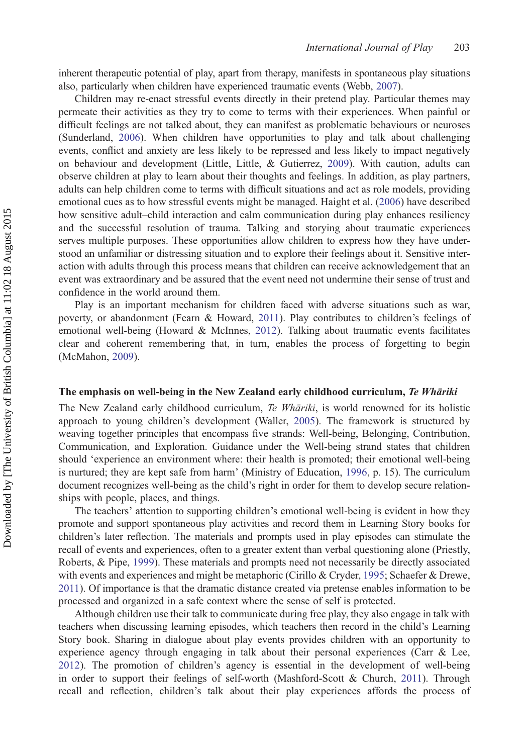inherent therapeutic potential of play, apart from therapy, manifests in spontaneous play situations also, particularly when children have experienced traumatic events (Webb, [2007\)](#page-19-0).

Children may re-enact stressful events directly in their pretend play. Particular themes may permeate their activities as they try to come to terms with their experiences. When painful or difficult feelings are not talked about, they can manifest as problematic behaviours or neuroses (Sunderland, [2006\)](#page-19-0). When children have opportunities to play and talk about challenging events, conflict and anxiety are less likely to be repressed and less likely to impact negatively on behaviour and development (Little, Little, & Gutierrez, [2009\)](#page-18-0). With caution, adults can observe children at play to learn about their thoughts and feelings. In addition, as play partners, adults can help children come to terms with difficult situations and act as role models, providing emotional cues as to how stressful events might be managed. Haight et al. ([2006\)](#page-18-0) have described how sensitive adult–child interaction and calm communication during play enhances resiliency and the successful resolution of trauma. Talking and storying about traumatic experiences serves multiple purposes. These opportunities allow children to express how they have understood an unfamiliar or distressing situation and to explore their feelings about it. Sensitive interaction with adults through this process means that children can receive acknowledgement that an event was extraordinary and be assured that the event need not undermine their sense of trust and confidence in the world around them.

Play is an important mechanism for children faced with adverse situations such as war, poverty, or abandonment (Fearn & Howard, [2011\)](#page-18-0). Play contributes to children's feelings of emotional well-being (Howard & McInnes, [2012](#page-18-0)). Talking about traumatic events facilitates clear and coherent remembering that, in turn, enables the process of forgetting to begin (McMahon, [2009\)](#page-18-0).

#### The emphasis on well-being in the New Zealand early childhood curriculum, Te Whāriki

The New Zealand early childhood curriculum, Te Whāriki, is world renowned for its holistic approach to young children's development (Waller, [2005](#page-19-0)). The framework is structured by weaving together principles that encompass five strands: Well-being, Belonging, Contribution, Communication, and Exploration. Guidance under the Well-being strand states that children should 'experience an environment where: their health is promoted; their emotional well-being is nurtured; they are kept safe from harm' (Ministry of Education, [1996](#page-18-0), p. 15). The curriculum document recognizes well-being as the child's right in order for them to develop secure relationships with people, places, and things.

The teachers' attention to supporting children's emotional well-being is evident in how they promote and support spontaneous play activities and record them in Learning Story books for children's later reflection. The materials and prompts used in play episodes can stimulate the recall of events and experiences, often to a greater extent than verbal questioning alone (Priestly, Roberts, & Pipe, [1999\)](#page-18-0). These materials and prompts need not necessarily be directly associated with events and experiences and might be metaphoric (Cirillo & Cryder, [1995;](#page-17-0) Schaefer & Drewe, [2011](#page-18-0)). Of importance is that the dramatic distance created via pretense enables information to be processed and organized in a safe context where the sense of self is protected.

Although children use their talk to communicate during free play, they also engage in talk with teachers when discussing learning episodes, which teachers then record in the child's Learning Story book. Sharing in dialogue about play events provides children with an opportunity to experience agency through engaging in talk about their personal experiences (Carr & Lee, [2012\)](#page-17-0). The promotion of children's agency is essential in the development of well-being in order to support their feelings of self-worth (Mashford-Scott & Church, [2011\)](#page-18-0). Through recall and reflection, children's talk about their play experiences affords the process of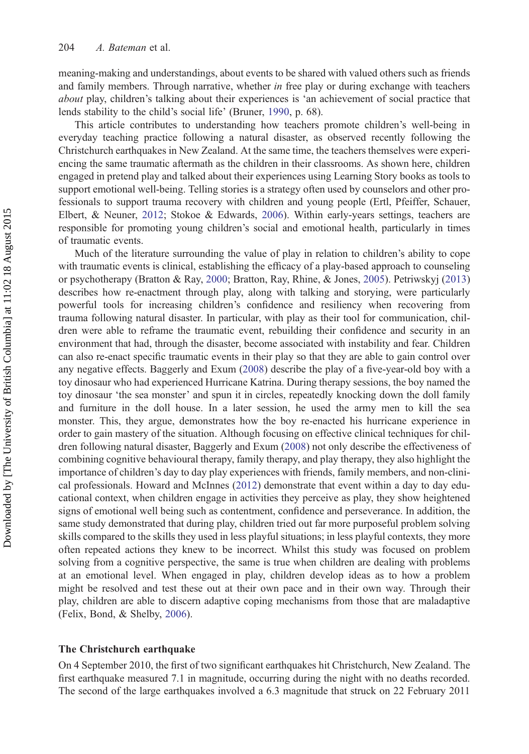meaning-making and understandings, about events to be shared with valued others such as friends and family members. Through narrative, whether in free play or during exchange with teachers about play, children's talking about their experiences is 'an achievement of social practice that lends stability to the child's social life' (Bruner, [1990,](#page-17-0) p. 68).

This article contributes to understanding how teachers promote children's well-being in everyday teaching practice following a natural disaster, as observed recently following the Christchurch earthquakes in New Zealand. At the same time, the teachers themselves were experiencing the same traumatic aftermath as the children in their classrooms. As shown here, children engaged in pretend play and talked about their experiences using Learning Story books as tools to support emotional well-being. Telling stories is a strategy often used by counselors and other professionals to support trauma recovery with children and young people (Ertl, Pfeiffer, Schauer, Elbert, & Neuner, [2012;](#page-18-0) Stokoe & Edwards, [2006](#page-19-0)). Within early-years settings, teachers are responsible for promoting young children's social and emotional health, particularly in times of traumatic events.

Much of the literature surrounding the value of play in relation to children's ability to cope with traumatic events is clinical, establishing the efficacy of a play-based approach to counseling or psychotherapy (Bratton & Ray, [2000](#page-17-0); Bratton, Ray, Rhine, & Jones, [2005\)](#page-17-0). Petriwskyj [\(2013](#page-18-0)) describes how re-enactment through play, along with talking and storying, were particularly powerful tools for increasing children's confidence and resiliency when recovering from trauma following natural disaster. In particular, with play as their tool for communication, children were able to reframe the traumatic event, rebuilding their confidence and security in an environment that had, through the disaster, become associated with instability and fear. Children can also re-enact specific traumatic events in their play so that they are able to gain control over any negative effects. Baggerly and Exum [\(2008](#page-17-0)) describe the play of a five-year-old boy with a toy dinosaur who had experienced Hurricane Katrina. During therapy sessions, the boy named the toy dinosaur 'the sea monster' and spun it in circles, repeatedly knocking down the doll family and furniture in the doll house. In a later session, he used the army men to kill the sea monster. This, they argue, demonstrates how the boy re-enacted his hurricane experience in order to gain mastery of the situation. Although focusing on effective clinical techniques for children following natural disaster, Baggerly and Exum [\(2008\)](#page-17-0) not only describe the effectiveness of combining cognitive behavioural therapy, family therapy, and play therapy, they also highlight the importance of children's day to day play experiences with friends, family members, and non-clinical professionals. Howard and McInnes [\(2012](#page-18-0)) demonstrate that event within a day to day educational context, when children engage in activities they perceive as play, they show heightened signs of emotional well being such as contentment, confidence and perseverance. In addition, the same study demonstrated that during play, children tried out far more purposeful problem solving skills compared to the skills they used in less playful situations; in less playful contexts, they more often repeated actions they knew to be incorrect. Whilst this study was focused on problem solving from a cognitive perspective, the same is true when children are dealing with problems at an emotional level. When engaged in play, children develop ideas as to how a problem might be resolved and test these out at their own pace and in their own way. Through their play, children are able to discern adaptive coping mechanisms from those that are maladaptive (Felix, Bond, & Shelby, [2006](#page-18-0)).

#### The Christchurch earthquake

On 4 September 2010, the first of two significant earthquakes hit Christchurch, New Zealand. The first earthquake measured 7.1 in magnitude, occurring during the night with no deaths recorded. The second of the large earthquakes involved a 6.3 magnitude that struck on 22 February 2011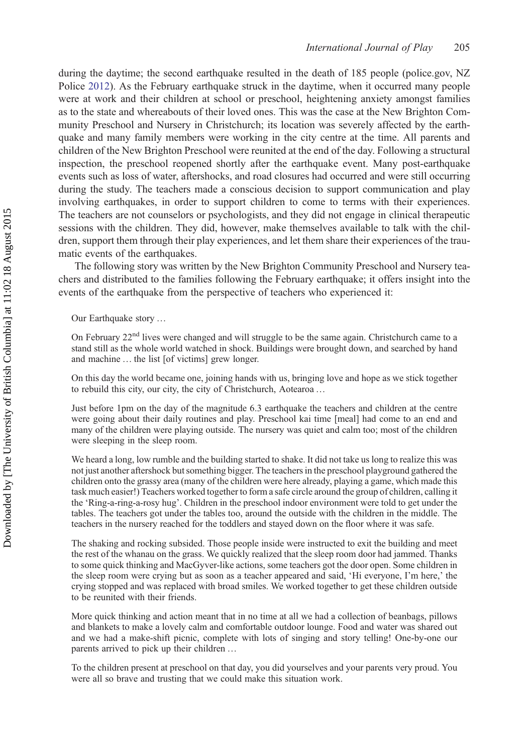during the daytime; the second earthquake resulted in the death of 185 people (police.gov, NZ Police [2012](#page-18-0)). As the February earthquake struck in the daytime, when it occurred many people were at work and their children at school or preschool, heightening anxiety amongst families as to the state and whereabouts of their loved ones. This was the case at the New Brighton Community Preschool and Nursery in Christchurch; its location was severely affected by the earthquake and many family members were working in the city centre at the time. All parents and children of the New Brighton Preschool were reunited at the end of the day. Following a structural inspection, the preschool reopened shortly after the earthquake event. Many post-earthquake events such as loss of water, aftershocks, and road closures had occurred and were still occurring during the study. The teachers made a conscious decision to support communication and play involving earthquakes, in order to support children to come to terms with their experiences. The teachers are not counselors or psychologists, and they did not engage in clinical therapeutic sessions with the children. They did, however, make themselves available to talk with the children, support them through their play experiences, and let them share their experiences of the traumatic events of the earthquakes.

The following story was written by the New Brighton Community Preschool and Nursery teachers and distributed to the families following the February earthquake; it offers insight into the events of the earthquake from the perspective of teachers who experienced it:

Our Earthquake story …

On February  $22<sup>nd</sup>$  lives were changed and will struggle to be the same again. Christchurch came to a stand still as the whole world watched in shock. Buildings were brought down, and searched by hand and machine … the list [of victims] grew longer.

On this day the world became one, joining hands with us, bringing love and hope as we stick together to rebuild this city, our city, the city of Christchurch, Aotearoa …

Just before 1pm on the day of the magnitude 6.3 earthquake the teachers and children at the centre were going about their daily routines and play. Preschool kai time [meal] had come to an end and many of the children were playing outside. The nursery was quiet and calm too; most of the children were sleeping in the sleep room.

We heard a long, low rumble and the building started to shake. It did not take us long to realize this was not just another aftershock but something bigger. The teachers in the preschool playground gathered the children onto the grassy area (many of the children were here already, playing a game, which made this task much easier!) Teachers worked together to form a safe circle around the group of children, calling it the 'Ring-a-ring-a-rosy hug'. Children in the preschool indoor environment were told to get under the tables. The teachers got under the tables too, around the outside with the children in the middle. The teachers in the nursery reached for the toddlers and stayed down on the floor where it was safe.

The shaking and rocking subsided. Those people inside were instructed to exit the building and meet the rest of the whanau on the grass. We quickly realized that the sleep room door had jammed. Thanks to some quick thinking and MacGyver-like actions, some teachers got the door open. Some children in the sleep room were crying but as soon as a teacher appeared and said, 'Hi everyone, I'm here,' the crying stopped and was replaced with broad smiles. We worked together to get these children outside to be reunited with their friends.

More quick thinking and action meant that in no time at all we had a collection of beanbags, pillows and blankets to make a lovely calm and comfortable outdoor lounge. Food and water was shared out and we had a make-shift picnic, complete with lots of singing and story telling! One-by-one our parents arrived to pick up their children …

To the children present at preschool on that day, you did yourselves and your parents very proud. You were all so brave and trusting that we could make this situation work.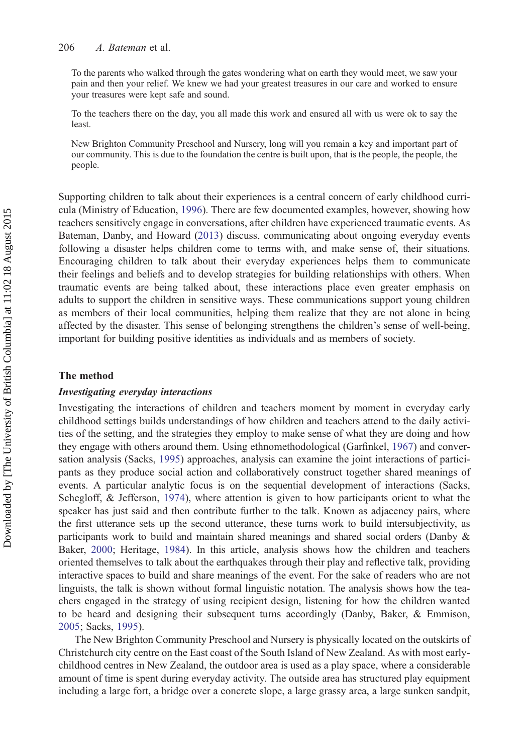To the parents who walked through the gates wondering what on earth they would meet, we saw your pain and then your relief. We knew we had your greatest treasures in our care and worked to ensure your treasures were kept safe and sound.

To the teachers there on the day, you all made this work and ensured all with us were ok to say the least.

New Brighton Community Preschool and Nursery, long will you remain a key and important part of our community. This is due to the foundation the centre is built upon, that is the people, the people, the people.

Supporting children to talk about their experiences is a central concern of early childhood curricula (Ministry of Education, [1996\)](#page-18-0). There are few documented examples, however, showing how teachers sensitively engage in conversations, after children have experienced traumatic events. As Bateman, Danby, and Howard ([2013\)](#page-17-0) discuss, communicating about ongoing everyday events following a disaster helps children come to terms with, and make sense of, their situations. Encouraging children to talk about their everyday experiences helps them to communicate their feelings and beliefs and to develop strategies for building relationships with others. When traumatic events are being talked about, these interactions place even greater emphasis on adults to support the children in sensitive ways. These communications support young children as members of their local communities, helping them realize that they are not alone in being affected by the disaster. This sense of belonging strengthens the children's sense of well-being, important for building positive identities as individuals and as members of society.

#### The method

#### Investigating everyday interactions

Investigating the interactions of children and teachers moment by moment in everyday early childhood settings builds understandings of how children and teachers attend to the daily activities of the setting, and the strategies they employ to make sense of what they are doing and how they engage with others around them. Using ethnomethodological (Garfinkel, [1967\)](#page-18-0) and conversation analysis (Sacks, [1995](#page-18-0)) approaches, analysis can examine the joint interactions of participants as they produce social action and collaboratively construct together shared meanings of events. A particular analytic focus is on the sequential development of interactions (Sacks, Schegloff, & Jefferson, [1974\)](#page-18-0), where attention is given to how participants orient to what the speaker has just said and then contribute further to the talk. Known as adjacency pairs, where the first utterance sets up the second utterance, these turns work to build intersubjectivity, as participants work to build and maintain shared meanings and shared social orders (Danby & Baker, [2000;](#page-17-0) Heritage, [1984](#page-18-0)). In this article, analysis shows how the children and teachers oriented themselves to talk about the earthquakes through their play and reflective talk, providing interactive spaces to build and share meanings of the event. For the sake of readers who are not linguists, the talk is shown without formal linguistic notation. The analysis shows how the teachers engaged in the strategy of using recipient design, listening for how the children wanted to be heard and designing their subsequent turns accordingly (Danby, Baker, & Emmison, [2005;](#page-18-0) Sacks, [1995](#page-18-0)).

The New Brighton Community Preschool and Nursery is physically located on the outskirts of Christchurch city centre on the East coast of the South Island of New Zealand. As with most earlychildhood centres in New Zealand, the outdoor area is used as a play space, where a considerable amount of time is spent during everyday activity. The outside area has structured play equipment including a large fort, a bridge over a concrete slope, a large grassy area, a large sunken sandpit,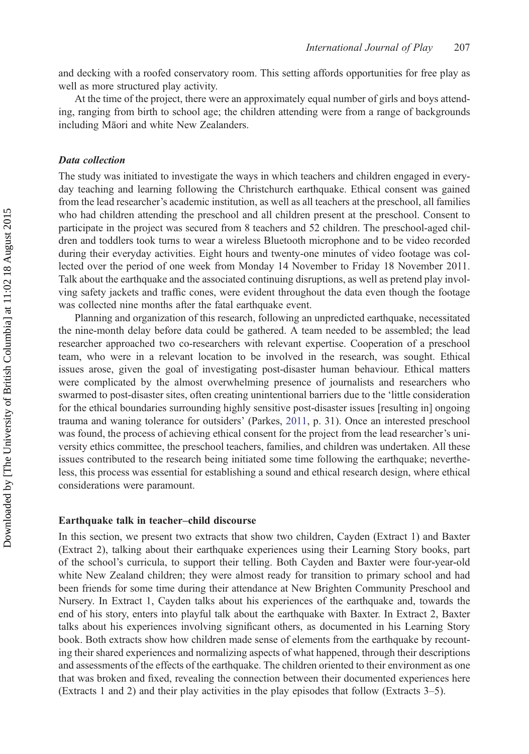and decking with a roofed conservatory room. This setting affords opportunities for free play as well as more structured play activity.

At the time of the project, there were an approximately equal number of girls and boys attending, ranging from birth to school age; the children attending were from a range of backgrounds including Māori and white New Zealanders.

#### Data collection

The study was initiated to investigate the ways in which teachers and children engaged in everyday teaching and learning following the Christchurch earthquake. Ethical consent was gained from the lead researcher's academic institution, as well as all teachers at the preschool, all families who had children attending the preschool and all children present at the preschool. Consent to participate in the project was secured from 8 teachers and 52 children. The preschool-aged children and toddlers took turns to wear a wireless Bluetooth microphone and to be video recorded during their everyday activities. Eight hours and twenty-one minutes of video footage was collected over the period of one week from Monday 14 November to Friday 18 November 2011. Talk about the earthquake and the associated continuing disruptions, as well as pretend play involving safety jackets and traffic cones, were evident throughout the data even though the footage was collected nine months after the fatal earthquake event.

Planning and organization of this research, following an unpredicted earthquake, necessitated the nine-month delay before data could be gathered. A team needed to be assembled; the lead researcher approached two co-researchers with relevant expertise. Cooperation of a preschool team, who were in a relevant location to be involved in the research, was sought. Ethical issues arose, given the goal of investigating post-disaster human behaviour. Ethical matters were complicated by the almost overwhelming presence of journalists and researchers who swarmed to post-disaster sites, often creating unintentional barriers due to the 'little consideration for the ethical boundaries surrounding highly sensitive post-disaster issues [resulting in] ongoing trauma and waning tolerance for outsiders' (Parkes, [2011](#page-18-0), p. 31). Once an interested preschool was found, the process of achieving ethical consent for the project from the lead researcher's university ethics committee, the preschool teachers, families, and children was undertaken. All these issues contributed to the research being initiated some time following the earthquake; nevertheless, this process was essential for establishing a sound and ethical research design, where ethical considerations were paramount.

#### Earthquake talk in teacher–child discourse

In this section, we present two extracts that show two children, Cayden (Extract 1) and Baxter (Extract 2), talking about their earthquake experiences using their Learning Story books, part of the school's curricula, to support their telling. Both Cayden and Baxter were four-year-old white New Zealand children; they were almost ready for transition to primary school and had been friends for some time during their attendance at New Brighten Community Preschool and Nursery. In Extract 1, Cayden talks about his experiences of the earthquake and, towards the end of his story, enters into playful talk about the earthquake with Baxter. In Extract 2, Baxter talks about his experiences involving significant others, as documented in his Learning Story book. Both extracts show how children made sense of elements from the earthquake by recounting their shared experiences and normalizing aspects of what happened, through their descriptions and assessments of the effects of the earthquake. The children oriented to their environment as one that was broken and fixed, revealing the connection between their documented experiences here (Extracts 1 and 2) and their play activities in the play episodes that follow (Extracts 3–5).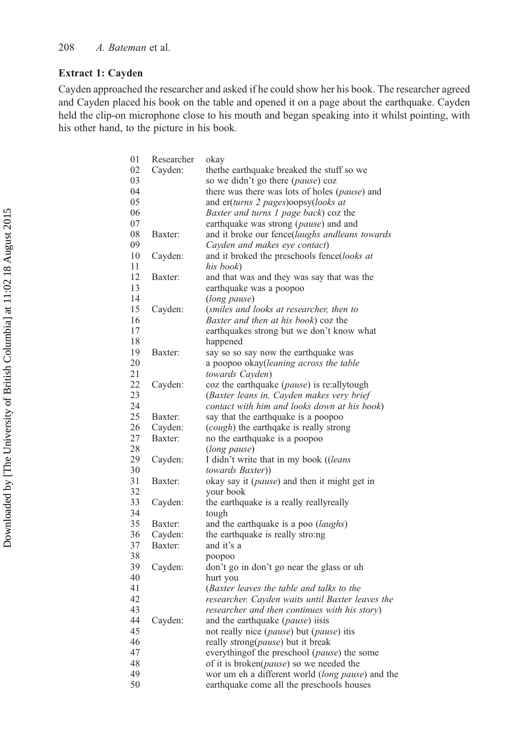# Extract 1: Cayden

Cayden approached the researcher and asked if he could show her his book. The researcher agreed and Cayden placed his book on the table and opened it on a page about the earthquake. Cayden held the clip-on microphone close to his mouth and began speaking into it whilst pointing, with his other hand, to the picture in his book.

| 01       | Researcher | okay                                             |
|----------|------------|--------------------------------------------------|
| 02       | Cayden:    | the the earthquake breaked the stuff so we       |
| 03       |            | so we didn't go there (pause) coz                |
| 04       |            | there was there was lots of holes (pause) and    |
| 05       |            | and er(turns 2 pages)oopsy(looks at              |
| 06       |            | Baxter and turns 1 page back) coz the            |
| 07       |            | earthquake was strong (pause) and and            |
| 08       | Baxter:    | and it broke our fence(laughs andleans towards   |
| 09       |            | Cayden and makes eye contact)                    |
| 10       | Cayden:    | and it broked the preschools fence(looks at      |
| 11       |            | his book)                                        |
| 12       | Baxter:    | and that was and they was say that was the       |
| 13       |            | earthquake was a poopoo                          |
| 14       |            | (long pause)                                     |
| 15       | Cayden:    | (smiles and looks at researcher, then to         |
| 16       |            | Baxter and then at his book) coz the             |
| 17       |            | earthquakes strong but we don't know what        |
| 18       |            | happened                                         |
| 19       | Baxter:    | say so so say now the earthquake was             |
| 20       |            | a poopoo okay(leaning across the table           |
| 21       |            | towards Cayden)                                  |
| 22       | Cayden:    | coz the earthquake (pause) is re:allytough       |
| 23       |            | (Baxter leans in, Cayden makes very brief        |
|          |            | contact with him and looks down at his book)     |
| 24<br>25 |            |                                                  |
|          | Baxter:    | say that the earthquake is a poopoo              |
| 26       | Cayden:    | <i>(cough)</i> the earthqake is really strong    |
| 27       | Baxter:    | no the earthquake is a poopoo                    |
| 28       |            | <i>(long pause)</i>                              |
| 29       | Cayden:    | I didn't write that in my book ((leans           |
| 30       |            | towards Baxter))                                 |
| 31       | Baxter:    | okay say it (pause) and then it might get in     |
| 32       |            | vour book                                        |
| 33       | Cayden:    | the earthquake is a really reallyreally          |
| 34       |            | tough                                            |
| 35       | Baxter:    | and the earthquake is a poo (laughs)             |
| 36       | Cayden:    | the earthquake is really stro:ng                 |
| 37       | Baxter:    | and it's a                                       |
| 38       |            | poopoo                                           |
| 39       | Cayden:    | don't go in don't go near the glass or uh        |
| 40       |            | hurt you                                         |
| 41       |            | (Baxter leaves the table and talks to the        |
| 42       |            | researcher. Cayden waits until Baxter leaves the |
| 43       |            | researcher and then continues with his story)    |
| 44       | Cayden:    | and the earthquake (pause) iisis                 |
| 45       |            | not really nice (pause) but (pause) itis         |
| 46       |            | really strong(pause) but it break                |
| 47       |            | everything of the preschool (pause) the some     |
| 48       |            | of it is broken(pause) so we needed the          |
| 49       |            | wor um eh a different world (long pause) and the |
| 50       |            | earthquake come all the preschools houses        |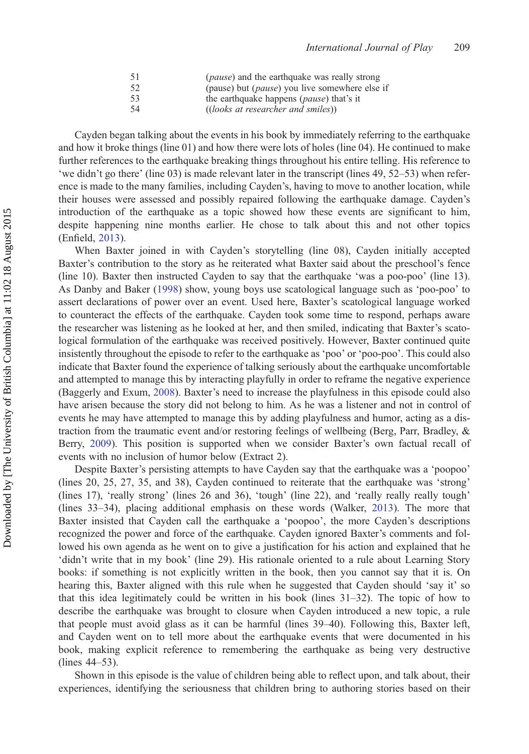| 51 | <i>(pause)</i> and the earthquake was really strong   |
|----|-------------------------------------------------------|
| 52 | (pause) but <i>(pause)</i> you live somewhere else if |
| 53 | the earthquake happens <i>(pause)</i> that's it       |
| 54 | $((\textit{looks at researcher and smiles}))$         |

Cayden began talking about the events in his book by immediately referring to the earthquake and how it broke things (line 01) and how there were lots of holes (line 04). He continued to make further references to the earthquake breaking things throughout his entire telling. His reference to 'we didn't go there' (line 03) is made relevant later in the transcript (lines 49, 52–53) when reference is made to the many families, including Cayden's, having to move to another location, while their houses were assessed and possibly repaired following the earthquake damage. Cayden's introduction of the earthquake as a topic showed how these events are significant to him, despite happening nine months earlier. He chose to talk about this and not other topics (Enfield, [2013](#page-18-0)).

When Baxter joined in with Cayden's storytelling (line 08), Cayden initially accepted Baxter's contribution to the story as he reiterated what Baxter said about the preschool's fence (line 10). Baxter then instructed Cayden to say that the earthquake 'was a poo-poo' (line 13). As Danby and Baker [\(1998](#page-17-0)) show, young boys use scatological language such as 'poo-poo' to assert declarations of power over an event. Used here, Baxter's scatological language worked to counteract the effects of the earthquake. Cayden took some time to respond, perhaps aware the researcher was listening as he looked at her, and then smiled, indicating that Baxter's scatological formulation of the earthquake was received positively. However, Baxter continued quite insistently throughout the episode to refer to the earthquake as 'poo' or 'poo-poo'. This could also indicate that Baxter found the experience of talking seriously about the earthquake uncomfortable and attempted to manage this by interacting playfully in order to reframe the negative experience (Baggerly and Exum, [2008](#page-17-0)). Baxter's need to increase the playfulness in this episode could also have arisen because the story did not belong to him. As he was a listener and not in control of events he may have attempted to manage this by adding playfulness and humor, acting as a distraction from the traumatic event and/or restoring feelings of wellbeing (Berg, Parr, Bradley, & Berry, [2009\)](#page-17-0). This position is supported when we consider Baxter's own factual recall of events with no inclusion of humor below (Extract 2).

Despite Baxter's persisting attempts to have Cayden say that the earthquake was a 'poopoo' (lines 20, 25, 27, 35, and 38), Cayden continued to reiterate that the earthquake was 'strong' (lines 17), 'really strong' (lines 26 and 36), 'tough' (line 22), and 'really really really tough' (lines 33–34), placing additional emphasis on these words (Walker, [2013](#page-19-0)). The more that Baxter insisted that Cayden call the earthquake a 'poopoo', the more Cayden's descriptions recognized the power and force of the earthquake. Cayden ignored Baxter's comments and followed his own agenda as he went on to give a justification for his action and explained that he 'didn't write that in my book' (line 29). His rationale oriented to a rule about Learning Story books: if something is not explicitly written in the book, then you cannot say that it is. On hearing this, Baxter aligned with this rule when he suggested that Cayden should 'say it' so that this idea legitimately could be written in his book (lines 31–32). The topic of how to describe the earthquake was brought to closure when Cayden introduced a new topic, a rule that people must avoid glass as it can be harmful (lines 39–40). Following this, Baxter left, and Cayden went on to tell more about the earthquake events that were documented in his book, making explicit reference to remembering the earthquake as being very destructive (lines 44–53).

Shown in this episode is the value of children being able to reflect upon, and talk about, their experiences, identifying the seriousness that children bring to authoring stories based on their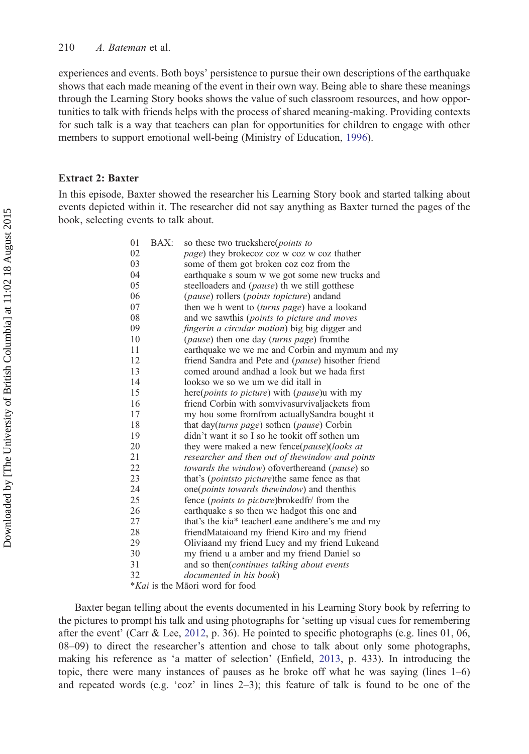experiences and events. Both boys' persistence to pursue their own descriptions of the earthquake shows that each made meaning of the event in their own way. Being able to share these meanings through the Learning Story books shows the value of such classroom resources, and how opportunities to talk with friends helps with the process of shared meaning-making. Providing contexts for such talk is a way that teachers can plan for opportunities for children to engage with other members to support emotional well-being (Ministry of Education, [1996\)](#page-18-0).

# Extract 2: Baxter

In this episode, Baxter showed the researcher his Learning Story book and started talking about events depicted within it. The researcher did not say anything as Baxter turned the pages of the book, selecting events to talk about.

| 01 | BAX: | so these two truckshere(points to                              |
|----|------|----------------------------------------------------------------|
| 02 |      | <i>page</i> ) they brokecoz coz w coz w coz thather            |
| 03 |      | some of them got broken coz coz from the                       |
| 04 |      | earthquake s soum w we got some new trucks and                 |
| 05 |      | steelloaders and <i>(pause)</i> th we still gotthese           |
| 06 |      | ( <i>pause</i> ) rollers ( <i>points topicture</i> ) and and   |
| 07 |      | then we h went to (turns page) have a lookand                  |
| 08 |      | and we sawthis ( <i>points to picture and moves</i>            |
| 09 |      | <i>fingerin a circular motion</i> ) big big digger and         |
| 10 |      | (pause) then one day (turns page) from the                     |
| 11 |      | earthquake we we me and Corbin and mymum and my                |
| 12 |      | friend Sandra and Pete and (pause) hisother friend             |
| 13 |      | comed around andhad a look but we hada first                   |
| 14 |      | lookso we so we um we did itall in                             |
| 15 |      | here( <i>points to picture</i> ) with ( <i>pause</i> ) with my |
| 16 |      | friend Corbin with somvivasurvivaljackets from                 |
| 17 |      | my hou some from from actually Sandra bought it                |
| 18 |      | that day(turns page) sothen (pause) Corbin                     |
| 19 |      | didn't want it so I so he tookit off sothen um                 |
| 20 |      | they were maked a new fence( <i>pause</i> )( <i>looks at</i> ) |
| 21 |      | researcher and then out of thewindow and points                |
| 22 |      | towards the window) of overthere and (pause) so                |
| 23 |      | that's <i>(pointsto picture)</i> the same fence as that        |
| 24 |      | one( <i>points towards thewindow</i> ) and thenthis            |
| 25 |      | fence ( <i>points to picture</i> )brokedfr/from the            |
| 26 |      | earthquake s so then we hadgot this one and                    |
| 27 |      | that's the kia* teacherLeane and there's me and my             |
| 28 |      | friendMataioand my friend Kiro and my friend                   |
| 29 |      | Oliviaand my friend Lucy and my friend Lukeand                 |
| 30 |      | my friend u a amber and my friend Daniel so                    |
| 31 |      | and so then(continues talking about events                     |
| 32 |      | documented in his book)                                        |
|    |      | <i>*Kai</i> is the Māori word for food                         |

Baxter began telling about the events documented in his Learning Story book by referring to the pictures to prompt his talk and using photographs for 'setting up visual cues for remembering after the event' (Carr & Lee, [2012](#page-17-0), p. 36). He pointed to specific photographs (e.g. lines 01, 06, 08–09) to direct the researcher's attention and chose to talk about only some photographs, making his reference as 'a matter of selection' (Enfield, [2013,](#page-18-0) p. 433). In introducing the topic, there were many instances of pauses as he broke off what he was saying (lines 1–6) and repeated words (e.g. 'coz' in lines  $2-3$ ); this feature of talk is found to be one of the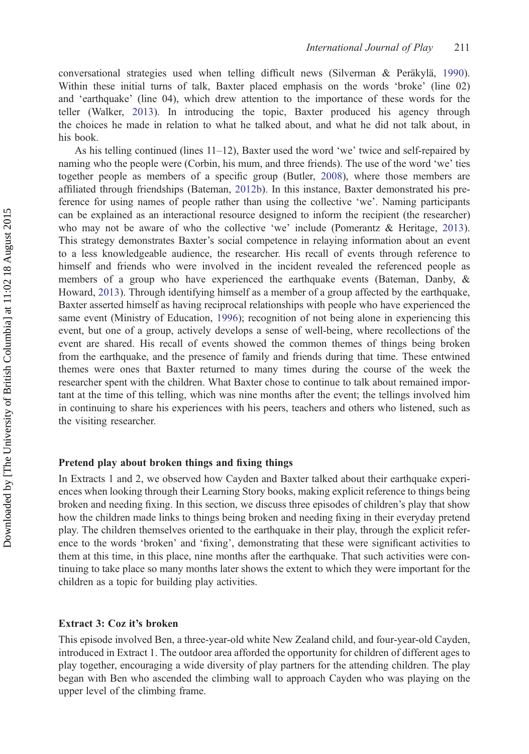conversational strategies used when telling difficult news (Silverman & Peräkylä, [1990\)](#page-19-0). Within these initial turns of talk, Baxter placed emphasis on the words 'broke' (line 02) and 'earthquake' (line 04), which drew attention to the importance of these words for the teller (Walker, [2013](#page-19-0)). In introducing the topic, Baxter produced his agency through the choices he made in relation to what he talked about, and what he did not talk about, in his book.

As his telling continued (lines 11–12), Baxter used the word 'we' twice and self-repaired by naming who the people were (Corbin, his mum, and three friends). The use of the word 'we' ties together people as members of a specific group (Butler, [2008](#page-17-0)), where those members are affiliated through friendships (Bateman, [2012b](#page-17-0)). In this instance, Baxter demonstrated his preference for using names of people rather than using the collective 'we'. Naming participants can be explained as an interactional resource designed to inform the recipient (the researcher) who may not be aware of who the collective 'we' include (Pomerantz & Heritage, [2013\)](#page-18-0). This strategy demonstrates Baxter's social competence in relaying information about an event to a less knowledgeable audience, the researcher. His recall of events through reference to himself and friends who were involved in the incident revealed the referenced people as members of a group who have experienced the earthquake events (Bateman, Danby, & Howard, [2013\)](#page-17-0). Through identifying himself as a member of a group affected by the earthquake, Baxter asserted himself as having reciprocal relationships with people who have experienced the same event (Ministry of Education, [1996](#page-18-0)); recognition of not being alone in experiencing this event, but one of a group, actively develops a sense of well-being, where recollections of the event are shared. His recall of events showed the common themes of things being broken from the earthquake, and the presence of family and friends during that time. These entwined themes were ones that Baxter returned to many times during the course of the week the researcher spent with the children. What Baxter chose to continue to talk about remained important at the time of this telling, which was nine months after the event; the tellings involved him in continuing to share his experiences with his peers, teachers and others who listened, such as the visiting researcher.

# Pretend play about broken things and fixing things

In Extracts 1 and 2, we observed how Cayden and Baxter talked about their earthquake experiences when looking through their Learning Story books, making explicit reference to things being broken and needing fixing. In this section, we discuss three episodes of children's play that show how the children made links to things being broken and needing fixing in their everyday pretend play. The children themselves oriented to the earthquake in their play, through the explicit reference to the words 'broken' and 'fixing', demonstrating that these were significant activities to them at this time, in this place, nine months after the earthquake. That such activities were continuing to take place so many months later shows the extent to which they were important for the children as a topic for building play activities.

### Extract 3: Coz it's broken

This episode involved Ben, a three-year-old white New Zealand child, and four-year-old Cayden, introduced in Extract 1. The outdoor area afforded the opportunity for children of different ages to play together, encouraging a wide diversity of play partners for the attending children. The play began with Ben who ascended the climbing wall to approach Cayden who was playing on the upper level of the climbing frame.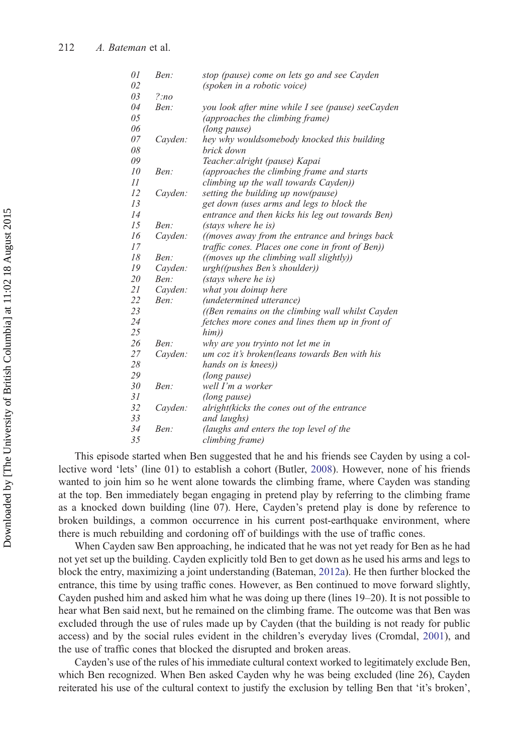| 01             | Ben:    | stop (pause) come on lets go and see Cayden             |
|----------------|---------|---------------------------------------------------------|
| 0 <sub>2</sub> |         | (spoken in a robotic voice)                             |
| 03             | 2:no    |                                                         |
| 04             | Ben:    | you look after mine while I see (pause) seeCayden       |
| 05             |         | (approaches the climbing frame)                         |
| 06             |         | (long pause)                                            |
| 07             | Cayden: | hey why wouldsomebody knocked this building             |
| 08             |         | brick down                                              |
| 09             |         | Teacher: alright (pause) Kapai                          |
| 10             | Ben:    | (approaches the climbing frame and starts               |
| 11             |         | climbing up the wall towards Cayden))                   |
| 12             | Cayden: | setting the building up now(pause)                      |
| 13             |         | get down (uses arms and legs to block the               |
| 14             |         | entrance and then kicks his leg out towards Ben)        |
| 15             | Ben:    | (stays where he is)                                     |
| 16             | Cayden: | ((moves away from the entrance and brings back          |
| 17             |         | <i>traffic cones. Places one cone in front of Ben))</i> |
| 18             | Ben:    | $(moves up the climbing wall slightly))$                |
| 19             | Cayden: | urgh((pushes Ben's shoulder))                           |
| 20             | Ben:    | (stays where he is)                                     |
| 21             | Cayden: | what you doinup here                                    |
| 22             | Ben:    | (undetermined utterance)                                |
| 23             |         | (Ben remains on the climbing wall whilst Cayden)        |
| 24             |         | fetches more cones and lines them up in front of        |
| 25             |         | him))                                                   |
| 26             | Ben:    | why are you tryinto not let me in                       |
| 27             | Cayden: | um coz it's broken(leans towards Ben with his           |
| 28             |         | hands on is knees))                                     |
| 29             |         | <i>(long pause)</i>                                     |
| 30             | Ben:    | well I'm a worker                                       |
| 31             |         | <i>(long pause)</i>                                     |
| 32             | Cayden: | alright(kicks the cones out of the entrance             |
| 33             |         | and laughs)                                             |
| 34             | Ben:    | (laughs and enters the top level of the                 |
| 35             |         | climbing frame)                                         |

This episode started when Ben suggested that he and his friends see Cayden by using a collective word 'lets' (line 01) to establish a cohort (Butler, [2008](#page-17-0)). However, none of his friends wanted to join him so he went alone towards the climbing frame, where Cayden was standing at the top. Ben immediately began engaging in pretend play by referring to the climbing frame as a knocked down building (line 07). Here, Cayden's pretend play is done by reference to broken buildings, a common occurrence in his current post-earthquake environment, where there is much rebuilding and cordoning off of buildings with the use of traffic cones.

When Cayden saw Ben approaching, he indicated that he was not yet ready for Ben as he had not yet set up the building. Cayden explicitly told Ben to get down as he used his arms and legs to block the entry, maximizing a joint understanding (Bateman, [2012a\)](#page-17-0). He then further blocked the entrance, this time by using traffic cones. However, as Ben continued to move forward slightly, Cayden pushed him and asked him what he was doing up there (lines 19–20). It is not possible to hear what Ben said next, but he remained on the climbing frame. The outcome was that Ben was excluded through the use of rules made up by Cayden (that the building is not ready for public access) and by the social rules evident in the children's everyday lives (Cromdal, [2001\)](#page-17-0), and the use of traffic cones that blocked the disrupted and broken areas.

Cayden's use of the rules of his immediate cultural context worked to legitimately exclude Ben, which Ben recognized. When Ben asked Cayden why he was being excluded (line 26), Cayden reiterated his use of the cultural context to justify the exclusion by telling Ben that 'it's broken',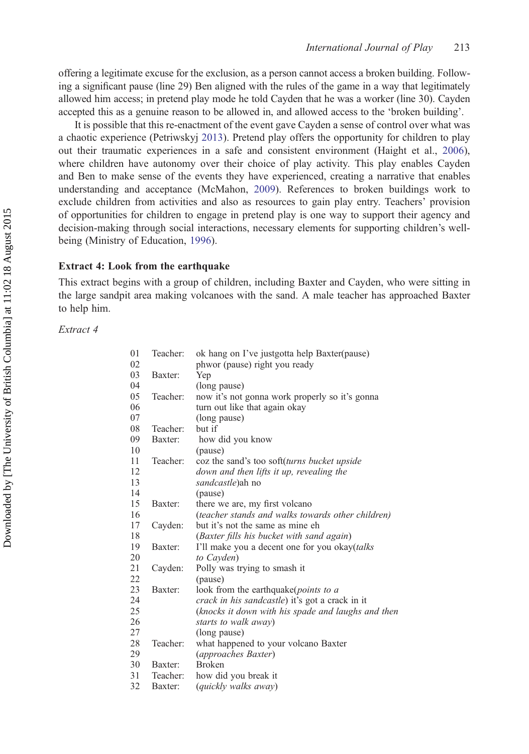offering a legitimate excuse for the exclusion, as a person cannot access a broken building. Following a significant pause (line 29) Ben aligned with the rules of the game in a way that legitimately allowed him access; in pretend play mode he told Cayden that he was a worker (line 30). Cayden accepted this as a genuine reason to be allowed in, and allowed access to the 'broken building'.

It is possible that this re-enactment of the event gave Cayden a sense of control over what was a chaotic experience (Petriwskyj [2013](#page-18-0)). Pretend play offers the opportunity for children to play out their traumatic experiences in a safe and consistent environment (Haight et al., [2006\)](#page-18-0), where children have autonomy over their choice of play activity. This play enables Cayden and Ben to make sense of the events they have experienced, creating a narrative that enables understanding and acceptance (McMahon, [2009\)](#page-18-0). References to broken buildings work to exclude children from activities and also as resources to gain play entry. Teachers' provision of opportunities for children to engage in pretend play is one way to support their agency and decision-making through social interactions, necessary elements for supporting children's wellbeing (Ministry of Education, [1996](#page-18-0)).

#### Extract 4: Look from the earthquake

This extract begins with a group of children, including Baxter and Cayden, who were sitting in the large sandpit area making volcanoes with the sand. A male teacher has approached Baxter to help him.

Extract 4

| 01 | Teacher: | ok hang on I've justgotta help Baxter(pause)            |
|----|----------|---------------------------------------------------------|
| 02 |          | phwor (pause) right you ready                           |
| 03 | Baxter:  | Yep                                                     |
| 04 |          | (long pause)                                            |
| 05 | Teacher: | now it's not gonna work properly so it's gonna          |
| 06 |          | turn out like that again okay                           |
| 07 |          | (long pause)                                            |
| 08 | Teacher: | but if                                                  |
| 09 | Baxter:  | how did you know                                        |
| 10 |          | (pause)                                                 |
| 11 | Teacher: | coz the sand's too soft(turns bucket upside             |
| 12 |          | down and then lifts it up, revealing the                |
| 13 |          | sandcastle)ah no                                        |
| 14 |          | (pause)                                                 |
| 15 | Baxter:  | there we are, my first volcano                          |
| 16 |          | (teacher stands and walks towards other children)       |
| 17 | Cayden:  | but it's not the same as mine eh                        |
| 18 |          | (Baxter fills his bucket with sand again)               |
| 19 | Baxter:  | I'll make you a decent one for you okay(talks           |
| 20 |          | to Cayden)                                              |
| 21 | Cayden:  | Polly was trying to smash it                            |
| 22 |          | (pause)                                                 |
| 23 | Baxter:  | look from the earthquake(points to a                    |
| 24 |          | <i>crack in his sandcastle</i> ) it's got a crack in it |
| 25 |          | (knocks it down with his spade and laughs and then      |
| 26 |          | starts to walk away)                                    |
| 27 |          | (long pause)                                            |
| 28 | Teacher: | what happened to your volcano Baxter                    |
| 29 |          | <i>(approaches Baxter)</i>                              |
| 30 | Baxter:  | <b>Broken</b>                                           |
| 31 | Teacher: | how did you break it                                    |
| 32 | Baxter:  | <i>(quickly walks away)</i>                             |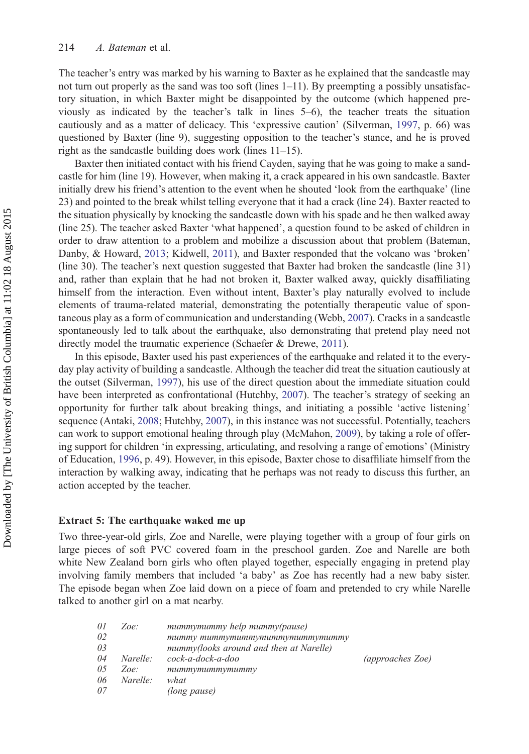The teacher's entry was marked by his warning to Baxter as he explained that the sandcastle may not turn out properly as the sand was too soft (lines  $1-11$ ). By preempting a possibly unsatisfactory situation, in which Baxter might be disappointed by the outcome (which happened previously as indicated by the teacher's talk in lines 5–6), the teacher treats the situation cautiously and as a matter of delicacy. This 'expressive caution' (Silverman, [1997,](#page-18-0) p. 66) was questioned by Baxter (line 9), suggesting opposition to the teacher's stance, and he is proved right as the sandcastle building does work (lines 11–15).

Baxter then initiated contact with his friend Cayden, saying that he was going to make a sandcastle for him (line 19). However, when making it, a crack appeared in his own sandcastle. Baxter initially drew his friend's attention to the event when he shouted 'look from the earthquake' (line 23) and pointed to the break whilst telling everyone that it had a crack (line 24). Baxter reacted to the situation physically by knocking the sandcastle down with his spade and he then walked away (line 25). The teacher asked Baxter 'what happened', a question found to be asked of children in order to draw attention to a problem and mobilize a discussion about that problem (Bateman, Danby, & Howard, [2013;](#page-17-0) Kidwell, [2011\)](#page-18-0), and Baxter responded that the volcano was 'broken' (line 30). The teacher's next question suggested that Baxter had broken the sandcastle (line 31) and, rather than explain that he had not broken it, Baxter walked away, quickly disaffiliating himself from the interaction. Even without intent, Baxter's play naturally evolved to include elements of trauma-related material, demonstrating the potentially therapeutic value of spontaneous play as a form of communication and understanding (Webb, [2007](#page-19-0)). Cracks in a sandcastle spontaneously led to talk about the earthquake, also demonstrating that pretend play need not directly model the traumatic experience (Schaefer & Drewe, [2011\)](#page-18-0).

In this episode, Baxter used his past experiences of the earthquake and related it to the everyday play activity of building a sandcastle. Although the teacher did treat the situation cautiously at the outset (Silverman, [1997\)](#page-18-0), his use of the direct question about the immediate situation could have been interpreted as confrontational (Hutchby, [2007\)](#page-18-0). The teacher's strategy of seeking an opportunity for further talk about breaking things, and initiating a possible 'active listening' sequence (Antaki, [2008](#page-17-0); Hutchby, [2007\)](#page-18-0), in this instance was not successful. Potentially, teachers can work to support emotional healing through play (McMahon, [2009](#page-18-0)), by taking a role of offering support for children 'in expressing, articulating, and resolving a range of emotions' (Ministry of Education, [1996](#page-18-0), p. 49). However, in this episode, Baxter chose to disaffiliate himself from the interaction by walking away, indicating that he perhaps was not ready to discuss this further, an action accepted by the teacher.

### Extract 5: The earthquake waked me up

Two three-year-old girls, Zoe and Narelle, were playing together with a group of four girls on large pieces of soft PVC covered foam in the preschool garden. Zoe and Narelle are both white New Zealand born girls who often played together, especially engaging in pretend play involving family members that included 'a baby' as Zoe has recently had a new baby sister. The episode began when Zoe laid down on a piece of foam and pretended to cry while Narelle talked to another girl on a mat nearby.

| $\theta$       | Zoe:     | mummymummy help mummy(pause)            |                         |
|----------------|----------|-----------------------------------------|-------------------------|
| 02             |          | mummy mummymummymummymummymummy         |                         |
| 03             |          | mummy(looks around and then at Narelle) |                         |
| 0 <sub>4</sub> | Narelle: | cock-a-dock-a-doo                       | <i>(approaches Zoe)</i> |
| 05             | Zoe:     | mummymummymummy                         |                         |
| 06             | Narelle: | what                                    |                         |
| -07            |          | (long pause)                            |                         |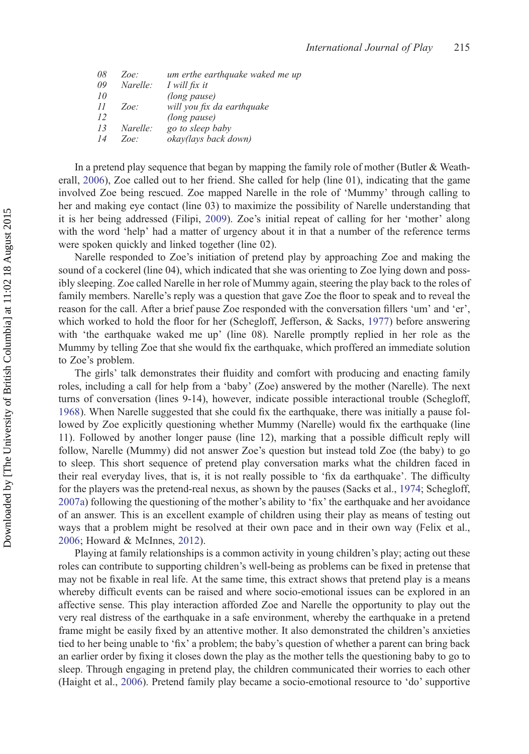| 08 | Zoe      | um erthe earthquake waked me up |
|----|----------|---------------------------------|
| 09 | Narelle: | I will fix it                   |
| 10 |          | <i>(long pause)</i>             |
| 11 | Zoe      | will you fix da earthquake      |
| 12 |          | <i>(long pause)</i>             |
| 13 | Narelle: | go to sleep baby                |
| 14 | Zoe      | okay(lays back down)            |

In a pretend play sequence that began by mapping the family role of mother (Butler & Weatherall, [2006\)](#page-17-0), Zoe called out to her friend. She called for help (line 01), indicating that the game involved Zoe being rescued. Zoe mapped Narelle in the role of 'Mummy' through calling to her and making eye contact (line 03) to maximize the possibility of Narelle understanding that it is her being addressed (Filipi, [2009\)](#page-18-0). Zoe's initial repeat of calling for her 'mother' along with the word 'help' had a matter of urgency about it in that a number of the reference terms were spoken quickly and linked together (line 02).

Narelle responded to Zoe's initiation of pretend play by approaching Zoe and making the sound of a cockerel (line 04), which indicated that she was orienting to Zoe lying down and possibly sleeping. Zoe called Narelle in her role of Mummy again, steering the play back to the roles of family members. Narelle's reply was a question that gave Zoe the floor to speak and to reveal the reason for the call. After a brief pause Zoe responded with the conversation fillers 'um' and 'er', which worked to hold the floor for her (Schegloff, Jefferson, & Sacks, [1977](#page-18-0)) before answering with 'the earthquake waked me up' (line 08). Narelle promptly replied in her role as the Mummy by telling Zoe that she would fix the earthquake, which proffered an immediate solution to Zoe's problem.

The girls' talk demonstrates their fluidity and comfort with producing and enacting family roles, including a call for help from a 'baby' (Zoe) answered by the mother (Narelle). The next turns of conversation (lines 9-14), however, indicate possible interactional trouble (Schegloff, [1968\)](#page-18-0). When Narelle suggested that she could fix the earthquake, there was initially a pause followed by Zoe explicitly questioning whether Mummy (Narelle) would fix the earthquake (line 11). Followed by another longer pause (line 12), marking that a possible difficult reply will follow, Narelle (Mummy) did not answer Zoe's question but instead told Zoe (the baby) to go to sleep. This short sequence of pretend play conversation marks what the children faced in their real everyday lives, that is, it is not really possible to 'fix da earthquake'. The difficulty for the players was the pretend-real nexus, as shown by the pauses (Sacks et al., [1974;](#page-18-0) Schegloff, [2007a](#page-18-0)) following the questioning of the mother's ability to 'fix' the earthquake and her avoidance of an answer. This is an excellent example of children using their play as means of testing out ways that a problem might be resolved at their own pace and in their own way (Felix et al., [2006;](#page-18-0) Howard & McInnes, [2012](#page-18-0)).

Playing at family relationships is a common activity in young children's play; acting out these roles can contribute to supporting children's well-being as problems can be fixed in pretense that may not be fixable in real life. At the same time, this extract shows that pretend play is a means whereby difficult events can be raised and where socio-emotional issues can be explored in an affective sense. This play interaction afforded Zoe and Narelle the opportunity to play out the very real distress of the earthquake in a safe environment, whereby the earthquake in a pretend frame might be easily fixed by an attentive mother. It also demonstrated the children's anxieties tied to her being unable to 'fix' a problem; the baby's question of whether a parent can bring back an earlier order by fixing it closes down the play as the mother tells the questioning baby to go to sleep. Through engaging in pretend play, the children communicated their worries to each other (Haight et al., [2006\)](#page-18-0). Pretend family play became a socio-emotional resource to 'do' supportive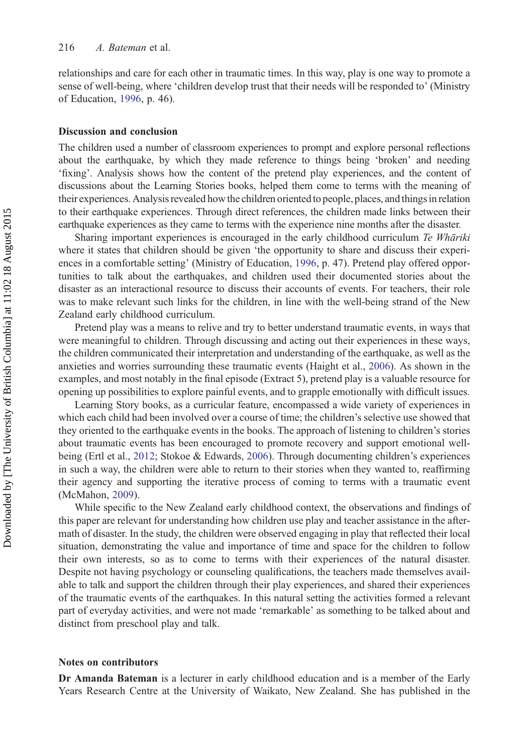relationships and care for each other in traumatic times. In this way, play is one way to promote a sense of well-being, where 'children develop trust that their needs will be responded to' (Ministry of Education, [1996,](#page-18-0) p. 46).

# Discussion and conclusion

The children used a number of classroom experiences to prompt and explore personal reflections about the earthquake, by which they made reference to things being 'broken' and needing 'fixing'. Analysis shows how the content of the pretend play experiences, and the content of discussions about the Learning Stories books, helped them come to terms with the meaning of their experiences. Analysis revealed how the children orientedto people, places, and things in relation to their earthquake experiences. Through direct references, the children made links between their earthquake experiences as they came to terms with the experience nine months after the disaster.

Sharing important experiences is encouraged in the early childhood curriculum Te Whariki where it states that children should be given 'the opportunity to share and discuss their experiences in a comfortable setting' (Ministry of Education, [1996](#page-18-0), p. 47). Pretend play offered opportunities to talk about the earthquakes, and children used their documented stories about the disaster as an interactional resource to discuss their accounts of events. For teachers, their role was to make relevant such links for the children, in line with the well-being strand of the New Zealand early childhood curriculum.

Pretend play was a means to relive and try to better understand traumatic events, in ways that were meaningful to children. Through discussing and acting out their experiences in these ways, the children communicated their interpretation and understanding of the earthquake, as well as the anxieties and worries surrounding these traumatic events (Haight et al., [2006](#page-18-0)). As shown in the examples, and most notably in the final episode (Extract 5), pretend play is a valuable resource for opening up possibilities to explore painful events, and to grapple emotionally with difficult issues.

Learning Story books, as a curricular feature, encompassed a wide variety of experiences in which each child had been involved over a course of time; the children's selective use showed that they oriented to the earthquake events in the books. The approach of listening to children's stories about traumatic events has been encouraged to promote recovery and support emotional wellbeing (Ertl et al., [2012](#page-18-0); Stokoe & Edwards, [2006](#page-19-0)). Through documenting children's experiences in such a way, the children were able to return to their stories when they wanted to, reaffirming their agency and supporting the iterative process of coming to terms with a traumatic event (McMahon, [2009\)](#page-18-0).

While specific to the New Zealand early childhood context, the observations and findings of this paper are relevant for understanding how children use play and teacher assistance in the aftermath of disaster. In the study, the children were observed engaging in play that reflected their local situation, demonstrating the value and importance of time and space for the children to follow their own interests, so as to come to terms with their experiences of the natural disaster. Despite not having psychology or counseling qualifications, the teachers made themselves available to talk and support the children through their play experiences, and shared their experiences of the traumatic events of the earthquakes. In this natural setting the activities formed a relevant part of everyday activities, and were not made 'remarkable' as something to be talked about and distinct from preschool play and talk.

#### Notes on contributors

Dr Amanda Bateman is a lecturer in early childhood education and is a member of the Early Years Research Centre at the University of Waikato, New Zealand. She has published in the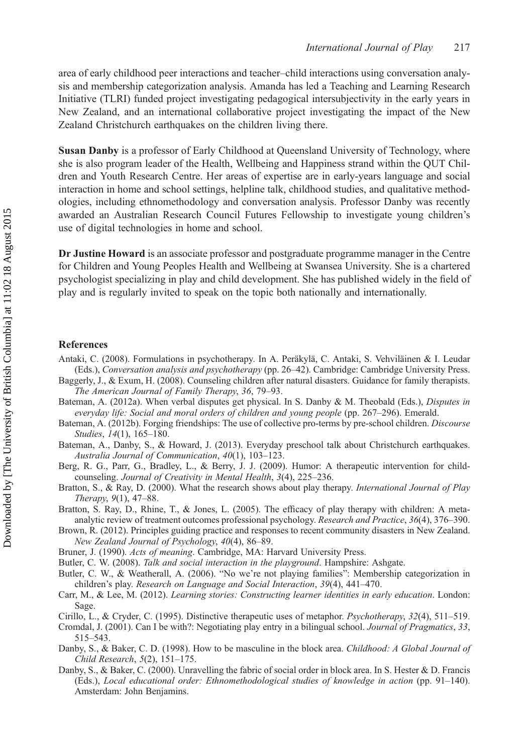<span id="page-17-0"></span>area of early childhood peer interactions and teacher–child interactions using conversation analysis and membership categorization analysis. Amanda has led a Teaching and Learning Research Initiative (TLRI) funded project investigating pedagogical intersubjectivity in the early years in New Zealand, and an international collaborative project investigating the impact of the New Zealand Christchurch earthquakes on the children living there.

Susan Danby is a professor of Early Childhood at Queensland University of Technology, where she is also program leader of the Health, Wellbeing and Happiness strand within the QUT Children and Youth Research Centre. Her areas of expertise are in early-years language and social interaction in home and school settings, helpline talk, childhood studies, and qualitative methodologies, including ethnomethodology and conversation analysis. Professor Danby was recently awarded an Australian Research Council Futures Fellowship to investigate young children's use of digital technologies in home and school.

Dr Justine Howard is an associate professor and postgraduate programme manager in the Centre for Children and Young Peoples Health and Wellbeing at Swansea University. She is a chartered psychologist specializing in play and child development. She has published widely in the field of play and is regularly invited to speak on the topic both nationally and internationally.

# References

- Antaki, C. (2008). Formulations in psychotherapy. In A. Peräkylä, C. Antaki, S. Vehviläinen & I. Leudar (Eds.), Conversation analysis and psychotherapy (pp. 26–42). Cambridge: Cambridge University Press.
- Baggerly, J., & Exum, H. (2008). Counseling children after natural disasters. Guidance for family therapists. The American Journal of Family Therapy, 36, 79–93.
- Bateman, A. (2012a). When verbal disputes get physical. In S. Danby & M. Theobald (Eds.), Disputes in everyday life: Social and moral orders of children and young people (pp. 267–296). Emerald.
- Bateman, A. (2012b). Forging friendships: The use of collective pro-terms by pre-school children. Discourse Studies, 14(1), 165–180.
- Bateman, A., Danby, S., & Howard, J. (2013). Everyday preschool talk about Christchurch earthquakes. Australia Journal of Communication, 40(1), 103–123.
- Berg, R. G., Parr, G., Bradley, L., & Berry, J. J. (2009). Humor: A therapeutic intervention for childcounseling. Journal of Creativity in Mental Health, 3(4), 225–236.
- Bratton, S., & Ray, D. (2000). What the research shows about play therapy. *International Journal of Play* Therapy, 9(1), 47–88.
- Bratton, S. Ray, D., Rhine, T., & Jones, L. (2005). The efficacy of play therapy with children: A metaanalytic review of treatment outcomes professional psychology. Research and Practice, 36(4), 376–390.
- Brown, R. (2012). Principles guiding practice and responses to recent community disasters in New Zealand. New Zealand Journal of Psychology, 40(4), 86–89.
- Bruner, J. (1990). Acts of meaning. Cambridge, MA: Harvard University Press.
- Butler, C. W. (2008). Talk and social interaction in the playground. Hampshire: Ashgate.
- Butler, C. W., & Weatherall, A. (2006). "No we're not playing families": Membership categorization in children's play. Research on Language and Social Interaction, 39(4), 441–470.
- Carr, M., & Lee, M. (2012). Learning stories: Constructing learner identities in early education. London: Sage.
- Cirillo, L., & Cryder, C. (1995). Distinctive therapeutic uses of metaphor. Psychotherapy, 32(4), 511–519.
- Cromdal, J. (2001). Can I be with?: Negotiating play entry in a bilingual school. Journal of Pragmatics, 33, 515–543.
- Danby, S., & Baker, C. D. (1998). How to be masculine in the block area. Childhood: A Global Journal of Child Research, 5(2), 151–175.
- Danby, S., & Baker, C. (2000). Unravelling the fabric of social order in block area. In S. Hester & D. Francis (Eds.), Local educational order: Ethnomethodological studies of knowledge in action (pp. 91–140). Amsterdam: John Benjamins.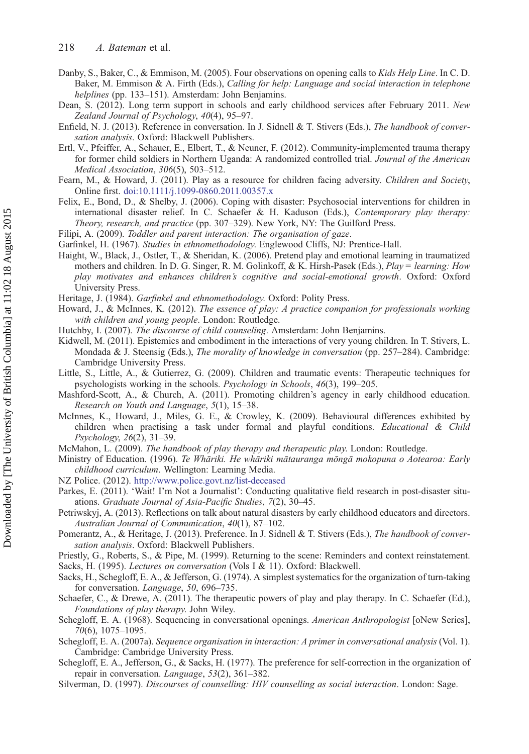- <span id="page-18-0"></span>Danby, S., Baker, C., & Emmison, M. (2005). Four observations on opening calls to Kids Help Line. In C. D. Baker, M. Emmison & A. Firth (Eds.), Calling for help: Language and social interaction in telephone helplines (pp. 133–151). Amsterdam: John Benjamins.
- Dean, S. (2012). Long term support in schools and early childhood services after February 2011. New Zealand Journal of Psychology, 40(4), 95–97.
- Enfield, N. J. (2013). Reference in conversation. In J. Sidnell & T. Stivers (Eds.), The handbook of conversation analysis. Oxford: Blackwell Publishers.
- Ertl, V., Pfeiffer, A., Schauer, E., Elbert, T., & Neuner, F. (2012). Community-implemented trauma therapy for former child soldiers in Northern Uganda: A randomized controlled trial. Journal of the American Medical Association, 306(5), 503–512.
- Fearn, M., & Howard, J. (2011). Play as a resource for children facing adversity. Children and Society, Online first. [doi:10.1111/j.1099-0860.2011.00357.x](http://dx.doi.org/10.1111/j.1099-0860.2011.00357.x)
- Felix, E., Bond, D., & Shelby, J. (2006). Coping with disaster: Psychosocial interventions for children in international disaster relief. In C. Schaefer & H. Kaduson (Eds.), Contemporary play therapy: Theory, research, and practice (pp. 307–329). New York, NY: The Guilford Press.
- Filipi, A. (2009). Toddler and parent interaction: The organisation of gaze.
- Garfinkel, H. (1967). Studies in ethnomethodology. Englewood Cliffs, NJ: Prentice-Hall.
- Haight, W., Black, J., Ostler, T., & Sheridan, K. (2006). Pretend play and emotional learning in traumatized mothers and children. In D. G. Singer, R. M. Golinkoff, & K. Hirsh-Pasek (Eds.), *Play = learning: How* play motivates and enhances children's cognitive and social-emotional growth. Oxford: Oxford University Press.
- Heritage, J. (1984). Garfinkel and ethnomethodology. Oxford: Polity Press.
- Howard, J., & McInnes, K. (2012). The essence of play: A practice companion for professionals working with children and young people. London: Routledge.
- Hutchby, I. (2007). The discourse of child counseling. Amsterdam: John Benjamins.
- Kidwell, M. (2011). Epistemics and embodiment in the interactions of very young children. In T. Stivers, L. Mondada & J. Steensig (Eds.), *The morality of knowledge in conversation* (pp. 257–284). Cambridge: Cambridge University Press.
- Little, S., Little, A., & Gutierrez, G. (2009). Children and traumatic events: Therapeutic techniques for psychologists working in the schools. Psychology in Schools, 46(3), 199–205.
- Mashford-Scott, A., & Church, A. (2011). Promoting children's agency in early childhood education. Research on Youth and Language, 5(1), 15–38.
- McInnes, K., Howard, J., Miles, G. E., & Crowley, K. (2009). Behavioural differences exhibited by children when practising a task under formal and playful conditions. Educational & Child Psychology, 26(2), 31–39.
- McMahon, L. (2009). The handbook of play therapy and therapeutic play. London: Routledge.
- Ministry of Education. (1996). Te Whāriki. He whāriki mātauranga mōngā mokopuna o Aotearoa: Early childhood curriculum. Wellington: Learning Media.
- NZ Police. (2012). <http://www.police.govt.nz/list-deceased>
- Parkes, E. (2011). 'Wait! I'm Not a Journalist': Conducting qualitative field research in post-disaster situations. Graduate Journal of Asia-Pacific Studies, 7(2), 30–45.

Petriwskyj, A. (2013). Reflections on talk about natural disasters by early childhood educators and directors. Australian Journal of Communication, 40(1), 87–102.

- Pomerantz, A., & Heritage, J. (2013). Preference. In J. Sidnell & T. Stivers (Eds.), The handbook of conversation analysis. Oxford: Blackwell Publishers.
- Priestly, G., Roberts, S., & Pipe, M. (1999). Returning to the scene: Reminders and context reinstatement.
- Sacks, H. (1995). Lectures on conversation (Vols I & 11). Oxford: Blackwell.
- Sacks, H., Schegloff, E. A., & Jefferson, G. (1974). A simplest systematics for the organization of turn-taking for conversation. Language, 50, 696–735.
- Schaefer, C., & Drewe, A. (2011). The therapeutic powers of play and play therapy. In C. Schaefer (Ed.), Foundations of play therapy. John Wiley.
- Schegloff, E. A. (1968). Sequencing in conversational openings. American Anthropologist [oNew Series], 70(6), 1075–1095.
- Schegloff, E. A. (2007a). Sequence organisation in interaction: A primer in conversational analysis (Vol. 1). Cambridge: Cambridge University Press.
- Schegloff, E. A., Jefferson, G., & Sacks, H. (1977). The preference for self-correction in the organization of repair in conversation. Language, 53(2), 361–382.
- Silverman, D. (1997). Discourses of counselling: HIV counselling as social interaction. London: Sage.